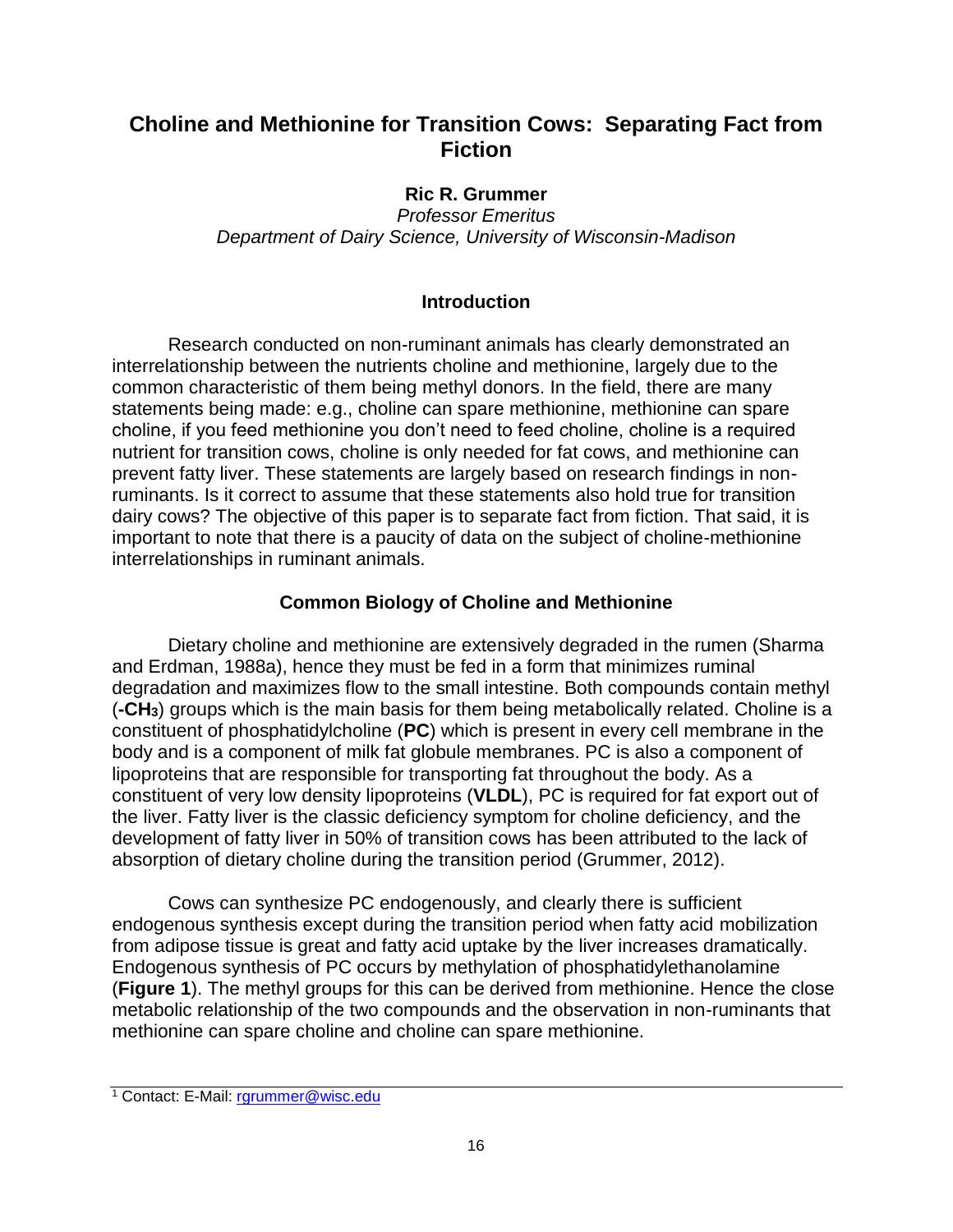## **Choline and Methionine for Transition Cows: Separating Fact from Fiction**

## **Ric R. Grummer**

*Professor Emeritus Department of Dairy Science, University of Wisconsin-Madison*

## **Introduction**

Research conducted on non-ruminant animals has clearly demonstrated an interrelationship between the nutrients choline and methionine, largely due to the common characteristic of them being methyl donors. In the field, there are many statements being made: e.g., choline can spare methionine, methionine can spare choline, if you feed methionine you don't need to feed choline, choline is a required nutrient for transition cows, choline is only needed for fat cows, and methionine can prevent fatty liver. These statements are largely based on research findings in nonruminants. Is it correct to assume that these statements also hold true for transition dairy cows? The objective of this paper is to separate fact from fiction. That said, it is important to note that there is a paucity of data on the subject of choline-methionine interrelationships in ruminant animals.

## **Common Biology of Choline and Methionine**

Dietary choline and methionine are extensively degraded in the rumen (Sharma and Erdman, 1988a), hence they must be fed in a form that minimizes ruminal degradation and maximizes flow to the small intestine. Both compounds contain methyl (**-CH3**) groups which is the main basis for them being metabolically related. Choline is a constituent of phosphatidylcholine (**PC**) which is present in every cell membrane in the body and is a component of milk fat globule membranes. PC is also a component of lipoproteins that are responsible for transporting fat throughout the body. As a constituent of very low density lipoproteins (**VLDL**), PC is required for fat export out of the liver. Fatty liver is the classic deficiency symptom for choline deficiency, and the development of fatty liver in 50% of transition cows has been attributed to the lack of absorption of dietary choline during the transition period (Grummer, 2012).

Cows can synthesize PC endogenously, and clearly there is sufficient endogenous synthesis except during the transition period when fatty acid mobilization from adipose tissue is great and fatty acid uptake by the liver increases dramatically. Endogenous synthesis of PC occurs by methylation of phosphatidylethanolamine (**Figure 1**). The methyl groups for this can be derived from methionine. Hence the close metabolic relationship of the two compounds and the observation in non-ruminants that methionine can spare choline and choline can spare methionine.

<sup>1</sup> Contact: E-Mail: rgrummer@wisc.edu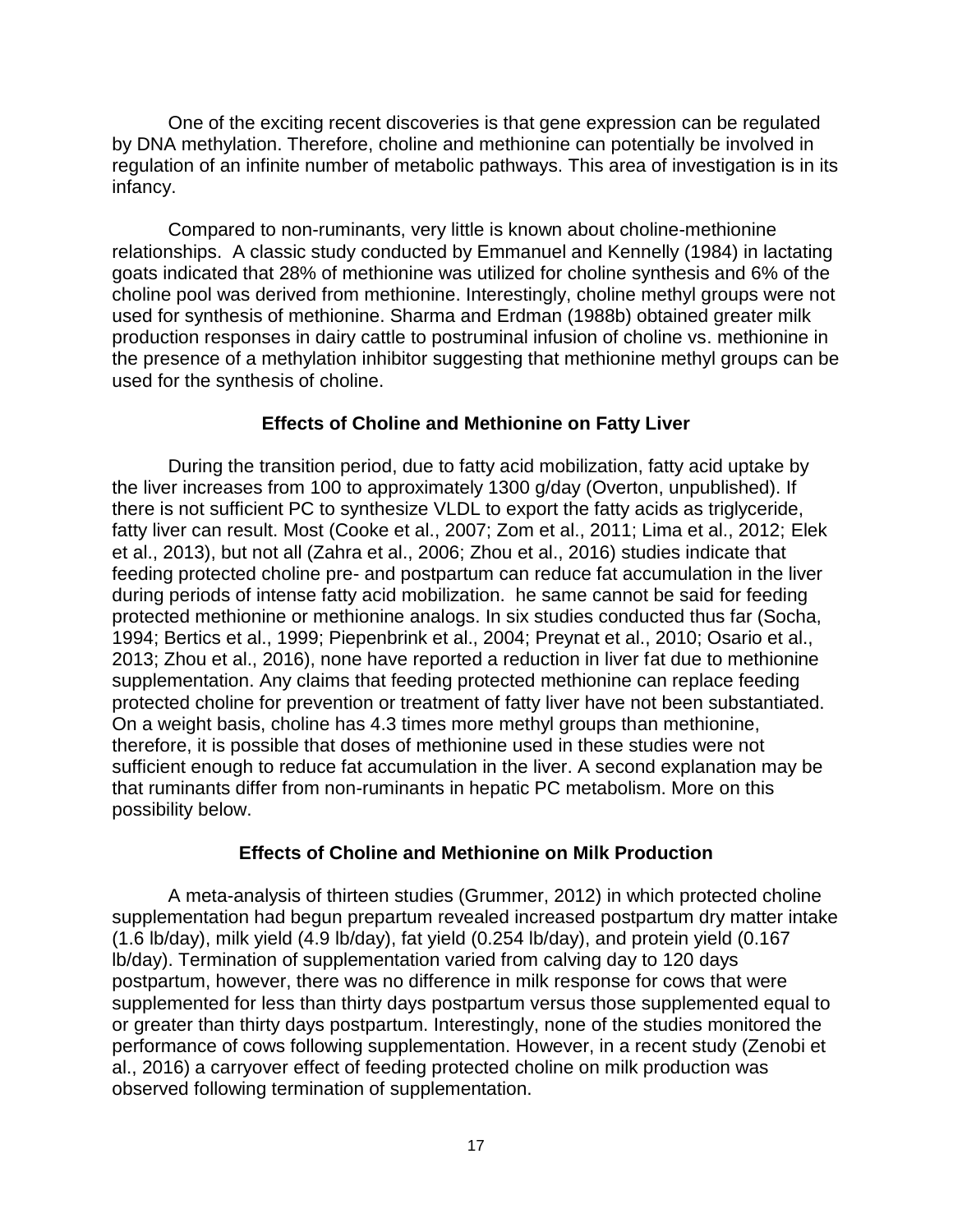One of the exciting recent discoveries is that gene expression can be regulated by DNA methylation. Therefore, choline and methionine can potentially be involved in regulation of an infinite number of metabolic pathways. This area of investigation is in its infancy.

Compared to non-ruminants, very little is known about choline-methionine relationships. A classic study conducted by Emmanuel and Kennelly (1984) in lactating goats indicated that 28% of methionine was utilized for choline synthesis and 6% of the choline pool was derived from methionine. Interestingly, choline methyl groups were not used for synthesis of methionine. Sharma and Erdman (1988b) obtained greater milk production responses in dairy cattle to postruminal infusion of choline vs. methionine in the presence of a methylation inhibitor suggesting that methionine methyl groups can be used for the synthesis of choline.

#### **Effects of Choline and Methionine on Fatty Liver**

During the transition period, due to fatty acid mobilization, fatty acid uptake by the liver increases from 100 to approximately 1300 g/day (Overton, unpublished). If there is not sufficient PC to synthesize VLDL to export the fatty acids as triglyceride, fatty liver can result. Most (Cooke et al., 2007; Zom et al., 2011; Lima et al., 2012; Elek et al., 2013), but not all (Zahra et al., 2006; Zhou et al., 2016) studies indicate that feeding protected choline pre- and postpartum can reduce fat accumulation in the liver during periods of intense fatty acid mobilization. he same cannot be said for feeding protected methionine or methionine analogs. In six studies conducted thus far (Socha, 1994; Bertics et al., 1999; Piepenbrink et al., 2004; Preynat et al., 2010; Osario et al., 2013; Zhou et al., 2016), none have reported a reduction in liver fat due to methionine supplementation. Any claims that feeding protected methionine can replace feeding protected choline for prevention or treatment of fatty liver have not been substantiated. On a weight basis, choline has 4.3 times more methyl groups than methionine, therefore, it is possible that doses of methionine used in these studies were not sufficient enough to reduce fat accumulation in the liver. A second explanation may be that ruminants differ from non-ruminants in hepatic PC metabolism. More on this possibility below.

#### **Effects of Choline and Methionine on Milk Production**

A meta-analysis of thirteen studies (Grummer, 2012) in which protected choline supplementation had begun prepartum revealed increased postpartum dry matter intake (1.6 lb/day), milk yield (4.9 lb/day), fat yield (0.254 lb/day), and protein yield (0.167 lb/day). Termination of supplementation varied from calving day to 120 days postpartum, however, there was no difference in milk response for cows that were supplemented for less than thirty days postpartum versus those supplemented equal to or greater than thirty days postpartum. Interestingly, none of the studies monitored the performance of cows following supplementation. However, in a recent study (Zenobi et al., 2016) a carryover effect of feeding protected choline on milk production was observed following termination of supplementation.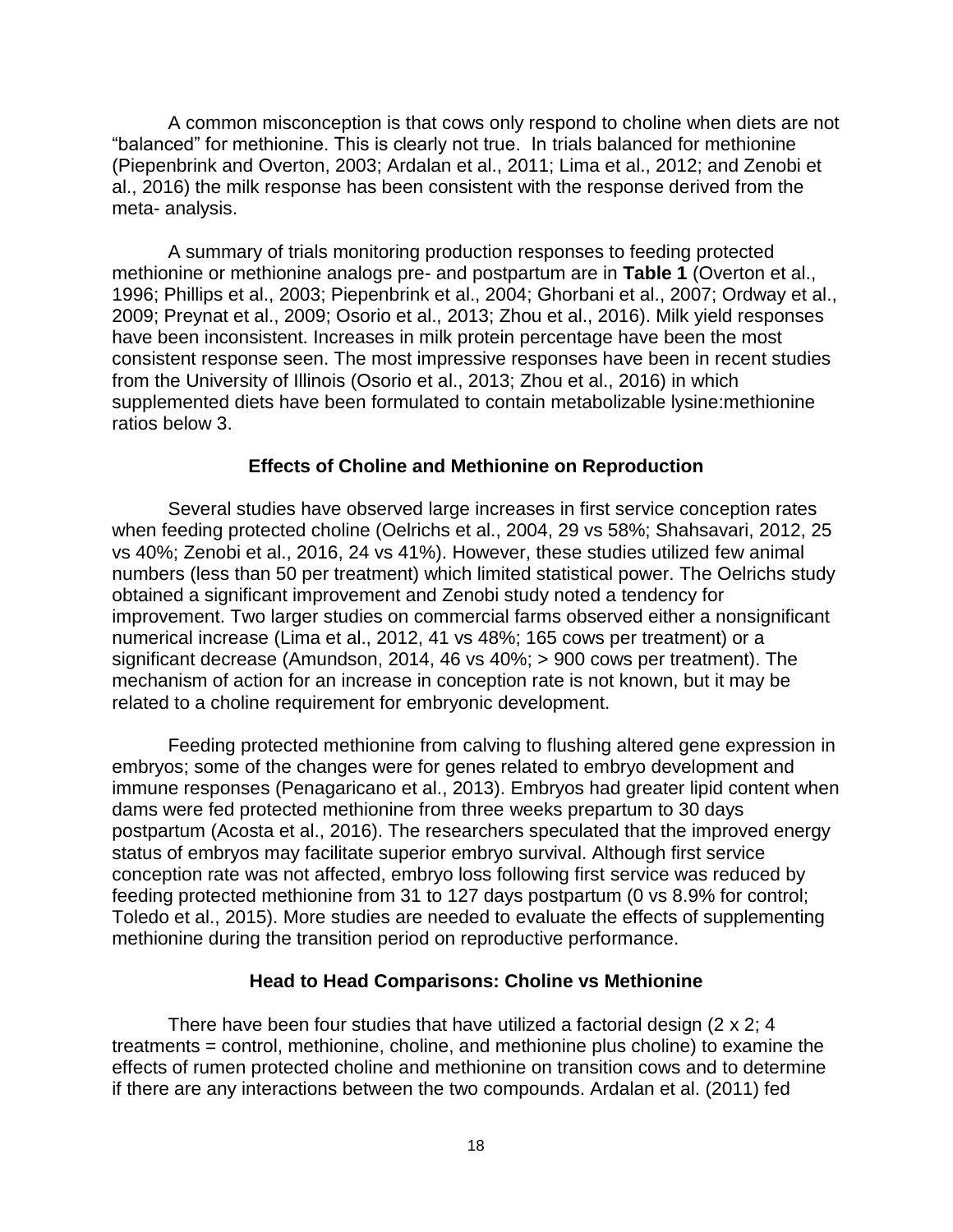A common misconception is that cows only respond to choline when diets are not "balanced" for methionine. This is clearly not true. In trials balanced for methionine (Piepenbrink and Overton, 2003; Ardalan et al., 2011; Lima et al., 2012; and Zenobi et al., 2016) the milk response has been consistent with the response derived from the meta- analysis.

A summary of trials monitoring production responses to feeding protected methionine or methionine analogs pre- and postpartum are in **Table 1** (Overton et al., 1996; Phillips et al., 2003; Piepenbrink et al., 2004; Ghorbani et al., 2007; Ordway et al., 2009; Preynat et al., 2009; Osorio et al., 2013; Zhou et al., 2016). Milk yield responses have been inconsistent. Increases in milk protein percentage have been the most consistent response seen. The most impressive responses have been in recent studies from the University of Illinois (Osorio et al., 2013; Zhou et al., 2016) in which supplemented diets have been formulated to contain metabolizable lysine:methionine ratios below 3.

#### **Effects of Choline and Methionine on Reproduction**

Several studies have observed large increases in first service conception rates when feeding protected choline (Oelrichs et al., 2004, 29 vs 58%; Shahsavari, 2012, 25 vs 40%; Zenobi et al., 2016, 24 vs 41%). However, these studies utilized few animal numbers (less than 50 per treatment) which limited statistical power. The Oelrichs study obtained a significant improvement and Zenobi study noted a tendency for improvement. Two larger studies on commercial farms observed either a nonsignificant numerical increase (Lima et al., 2012, 41 vs 48%; 165 cows per treatment) or a significant decrease (Amundson, 2014, 46 vs 40%; > 900 cows per treatment). The mechanism of action for an increase in conception rate is not known, but it may be related to a choline requirement for embryonic development.

Feeding protected methionine from calving to flushing altered gene expression in embryos; some of the changes were for genes related to embryo development and immune responses (Penagaricano et al., 2013). Embryos had greater lipid content when dams were fed protected methionine from three weeks prepartum to 30 days postpartum (Acosta et al., 2016). The researchers speculated that the improved energy status of embryos may facilitate superior embryo survival. Although first service conception rate was not affected, embryo loss following first service was reduced by feeding protected methionine from 31 to 127 days postpartum (0 vs 8.9% for control; Toledo et al., 2015). More studies are needed to evaluate the effects of supplementing methionine during the transition period on reproductive performance.

#### **Head to Head Comparisons: Choline vs Methionine**

There have been four studies that have utilized a factorial design (2 x 2; 4 treatments = control, methionine, choline, and methionine plus choline) to examine the effects of rumen protected choline and methionine on transition cows and to determine if there are any interactions between the two compounds. Ardalan et al. (2011) fed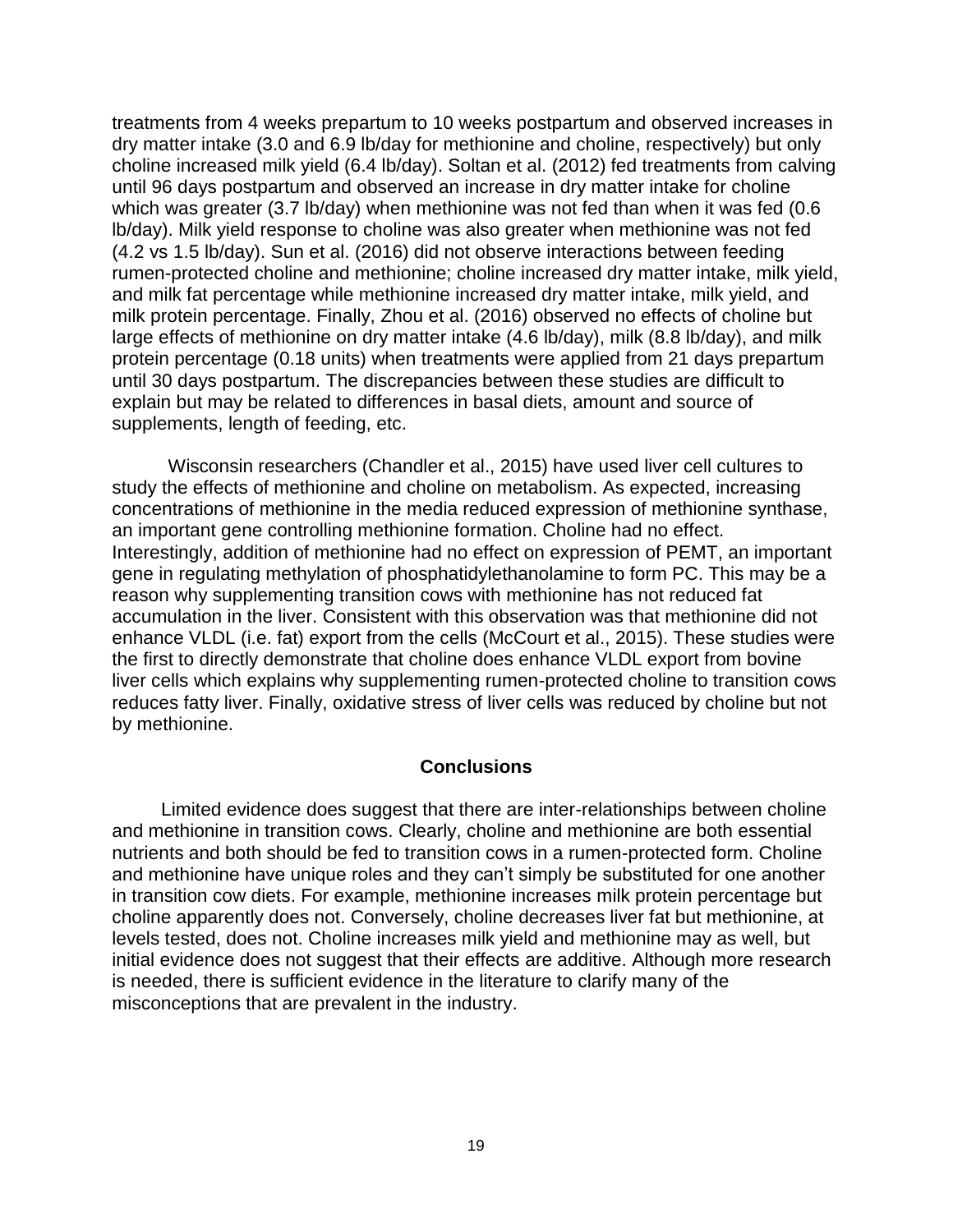treatments from 4 weeks prepartum to 10 weeks postpartum and observed increases in dry matter intake (3.0 and 6.9 lb/day for methionine and choline, respectively) but only choline increased milk yield (6.4 lb/day). Soltan et al. (2012) fed treatments from calving until 96 days postpartum and observed an increase in dry matter intake for choline which was greater (3.7 lb/day) when methionine was not fed than when it was fed (0.6 lb/day). Milk yield response to choline was also greater when methionine was not fed (4.2 vs 1.5 lb/day). Sun et al. (2016) did not observe interactions between feeding rumen-protected choline and methionine; choline increased dry matter intake, milk yield, and milk fat percentage while methionine increased dry matter intake, milk yield, and milk protein percentage. Finally, Zhou et al. (2016) observed no effects of choline but large effects of methionine on dry matter intake (4.6 lb/day), milk (8.8 lb/day), and milk protein percentage (0.18 units) when treatments were applied from 21 days prepartum until 30 days postpartum. The discrepancies between these studies are difficult to explain but may be related to differences in basal diets, amount and source of supplements, length of feeding, etc.

Wisconsin researchers (Chandler et al., 2015) have used liver cell cultures to study the effects of methionine and choline on metabolism. As expected, increasing concentrations of methionine in the media reduced expression of methionine synthase, an important gene controlling methionine formation. Choline had no effect. Interestingly, addition of methionine had no effect on expression of PEMT, an important gene in regulating methylation of phosphatidylethanolamine to form PC. This may be a reason why supplementing transition cows with methionine has not reduced fat accumulation in the liver. Consistent with this observation was that methionine did not enhance VLDL (i.e. fat) export from the cells (McCourt et al., 2015). These studies were the first to directly demonstrate that choline does enhance VLDL export from bovine liver cells which explains why supplementing rumen-protected choline to transition cows reduces fatty liver. Finally, oxidative stress of liver cells was reduced by choline but not by methionine.

#### **Conclusions**

Limited evidence does suggest that there are inter-relationships between choline and methionine in transition cows. Clearly, choline and methionine are both essential nutrients and both should be fed to transition cows in a rumen-protected form. Choline and methionine have unique roles and they can't simply be substituted for one another in transition cow diets. For example, methionine increases milk protein percentage but choline apparently does not. Conversely, choline decreases liver fat but methionine, at levels tested, does not. Choline increases milk yield and methionine may as well, but initial evidence does not suggest that their effects are additive. Although more research is needed, there is sufficient evidence in the literature to clarify many of the misconceptions that are prevalent in the industry.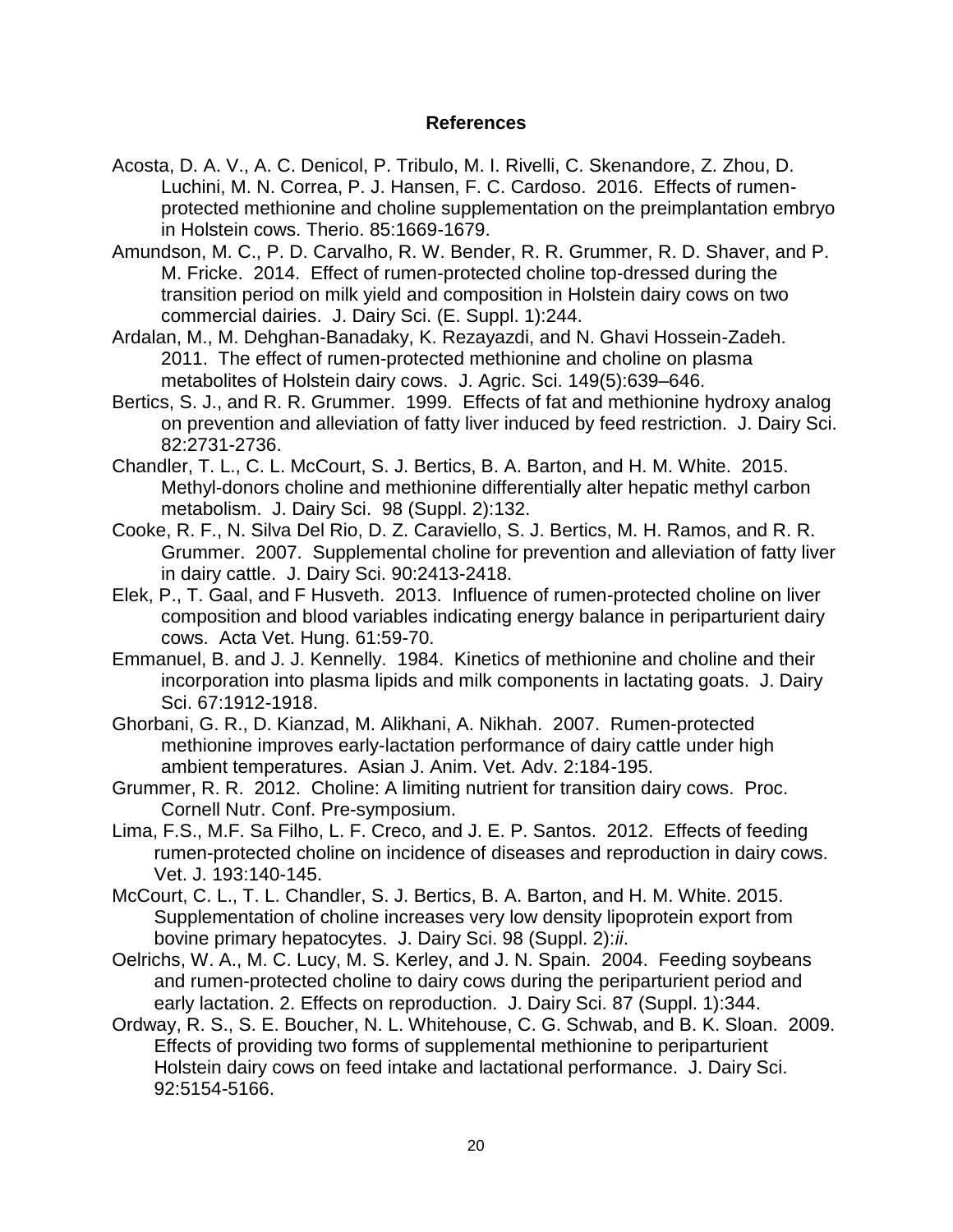#### **References**

- Acosta, D. A. V., A. C. Denicol, P. Tribulo, M. I. Rivelli, C. Skenandore, Z. Zhou, D. Luchini, M. N. Correa, P. J. Hansen, F. C. Cardoso. 2016. Effects of rumenprotected methionine and choline supplementation on the preimplantation embryo in Holstein cows. Therio. 85:1669-1679.
- Amundson, M. C., P. D. Carvalho, R. W. Bender, R. R. Grummer, R. D. Shaver, and P. M. Fricke. 2014. Effect of rumen-protected choline top-dressed during the transition period on milk yield and composition in Holstein dairy cows on two commercial dairies. J. Dairy Sci. (E. Suppl. 1):244.
- Ardalan, M., M. Dehghan-Banadaky, K. Rezayazdi, and N. Ghavi Hossein-Zadeh. 2011. The effect of rumen-protected methionine and choline on plasma metabolites of Holstein dairy cows. J. Agric. Sci. 149(5):639–646.
- Bertics, S. J., and R. R. Grummer. 1999. Effects of fat and methionine hydroxy analog on prevention and alleviation of fatty liver induced by feed restriction. J. Dairy Sci. 82:2731-2736.
- Chandler, T. L., C. L. McCourt, S. J. Bertics, B. A. Barton, and H. M. White. 2015. Methyl-donors choline and methionine differentially alter hepatic methyl carbon metabolism. J. Dairy Sci. 98 (Suppl. 2):132.
- Cooke, R. F., N. Silva Del Rio, D. Z. Caraviello, S. J. Bertics, M. H. Ramos, and R. R. Grummer. 2007. Supplemental choline for prevention and alleviation of fatty liver in dairy cattle. J. Dairy Sci. 90:2413-2418.
- Elek, P., T. Gaal, and F Husveth. 2013. Influence of rumen-protected choline on liver composition and blood variables indicating energy balance in periparturient dairy cows. Acta Vet. Hung. 61:59-70.
- Emmanuel, B. and J. J. Kennelly. 1984. Kinetics of methionine and choline and their incorporation into plasma lipids and milk components in lactating goats. J. Dairy Sci. 67:1912-1918.
- Ghorbani, G. R., D. Kianzad, M. Alikhani, A. Nikhah. 2007. Rumen-protected methionine improves early-lactation performance of dairy cattle under high ambient temperatures. Asian J. Anim. Vet. Adv. 2:184-195.
- Grummer, R. R. 2012. Choline: A limiting nutrient for transition dairy cows. Proc. Cornell Nutr. Conf. Pre-symposium.
- Lima, F.S., M.F. Sa Filho, L. F. Creco, and J. E. P. Santos. 2012. Effects of feeding rumen-protected choline on incidence of diseases and reproduction in dairy cows. Vet. J. 193:140-145.
- McCourt, C. L., T. L. Chandler, S. J. Bertics, B. A. Barton, and H. M. White. 2015. Supplementation of choline increases very low density lipoprotein export from bovine primary hepatocytes. J. Dairy Sci. 98 (Suppl. 2):*ii*.
- Oelrichs, W. A., M. C. Lucy, M. S. Kerley, and J. N. Spain. 2004. Feeding soybeans and rumen-protected choline to dairy cows during the periparturient period and early lactation. 2. Effects on reproduction. J. Dairy Sci. 87 (Suppl. 1):344.
- Ordway, R. S., S. E. Boucher, N. L. Whitehouse, C. G. Schwab, and B. K. Sloan. 2009. Effects of providing two forms of supplemental methionine to periparturient Holstein dairy cows on feed intake and lactational performance. J. Dairy Sci. 92:5154-5166.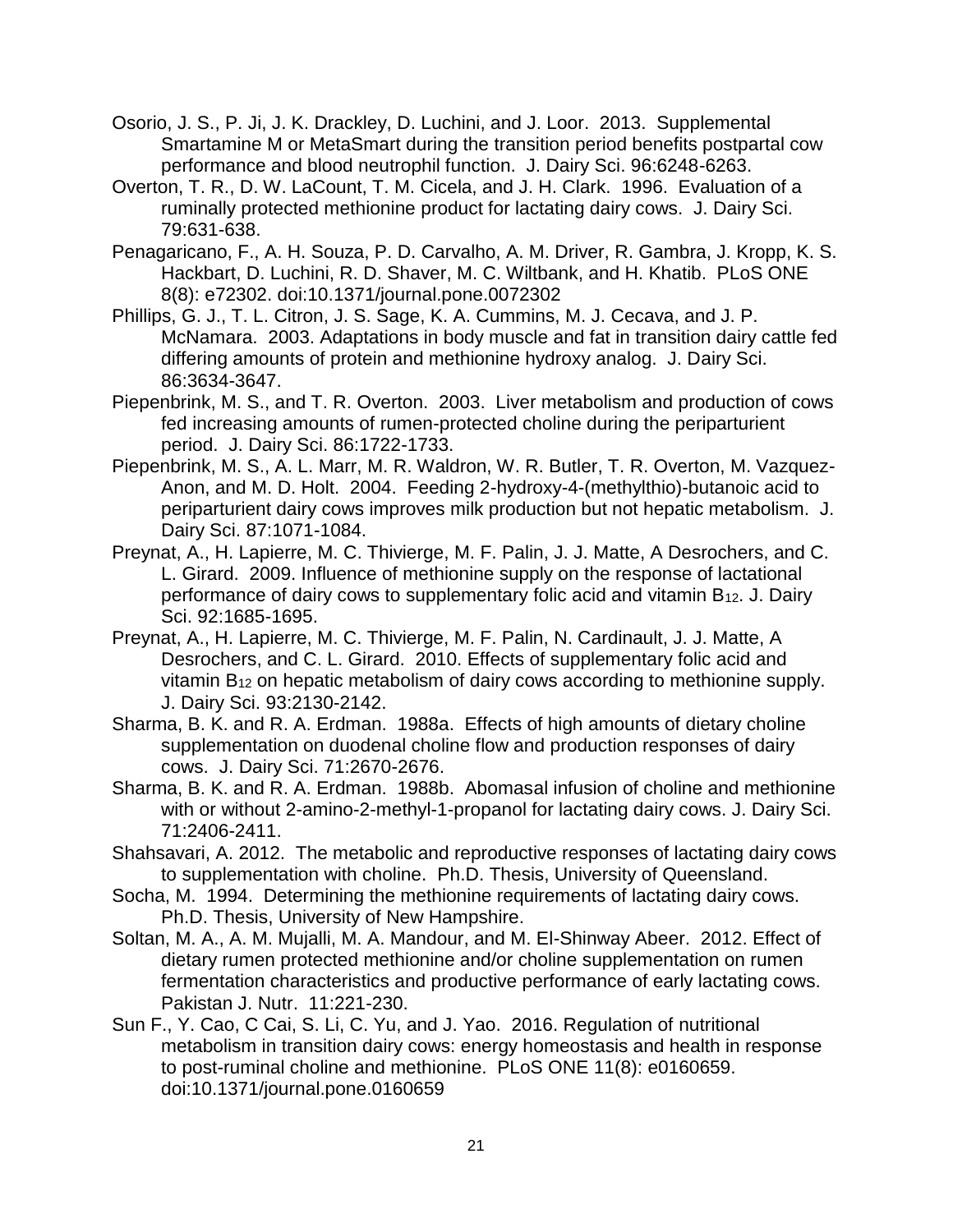- Osorio, J. S., P. Ji, J. K. Drackley, D. Luchini, and J. Loor. 2013. Supplemental Smartamine M or MetaSmart during the transition period benefits postpartal cow performance and blood neutrophil function. J. Dairy Sci. 96:6248-6263.
- Overton, T. R., D. W. LaCount, T. M. Cicela, and J. H. Clark. 1996. Evaluation of a ruminally protected methionine product for lactating dairy cows. J. Dairy Sci. 79:631-638.
- Penagaricano, F., A. H. Souza, P. D. Carvalho, A. M. Driver, R. Gambra, J. Kropp, K. S. Hackbart, D. Luchini, R. D. Shaver, M. C. Wiltbank, and H. Khatib. PLoS ONE 8(8): e72302. doi:10.1371/journal.pone.0072302
- Phillips, G. J., T. L. Citron, J. S. Sage, K. A. Cummins, M. J. Cecava, and J. P. McNamara. 2003. Adaptations in body muscle and fat in transition dairy cattle fed differing amounts of protein and methionine hydroxy analog. J. Dairy Sci. 86:3634-3647.
- Piepenbrink, M. S., and T. R. Overton. 2003. Liver metabolism and production of cows fed increasing amounts of rumen-protected choline during the periparturient period. J. Dairy Sci. 86:1722-1733.
- Piepenbrink, M. S., A. L. Marr, M. R. Waldron, W. R. Butler, T. R. Overton, M. Vazquez-Anon, and M. D. Holt. 2004. Feeding 2-hydroxy-4-(methylthio)-butanoic acid to periparturient dairy cows improves milk production but not hepatic metabolism. J. Dairy Sci. 87:1071-1084.
- Preynat, A., H. Lapierre, M. C. Thivierge, M. F. Palin, J. J. Matte, A Desrochers, and C. L. Girard. 2009. Influence of methionine supply on the response of lactational performance of dairy cows to supplementary folic acid and vitamin  $B_{12}$ . J. Dairy Sci. 92:1685-1695.
- Preynat, A., H. Lapierre, M. C. Thivierge, M. F. Palin, N. Cardinault, J. J. Matte, A Desrochers, and C. L. Girard. 2010. Effects of supplementary folic acid and vitamin B<sup>12</sup> on hepatic metabolism of dairy cows according to methionine supply. J. Dairy Sci. 93:2130-2142.
- Sharma, B. K. and R. A. Erdman. 1988a. Effects of high amounts of dietary choline supplementation on duodenal choline flow and production responses of dairy cows. J. Dairy Sci. 71:2670-2676.
- Sharma, B. K. and R. A. Erdman. 1988b. Abomasal infusion of choline and methionine with or without 2-amino-2-methyl-1-propanol for lactating dairy cows. J. Dairy Sci. 71:2406-2411.
- Shahsavari, A. 2012. The metabolic and reproductive responses of lactating dairy cows to supplementation with choline. Ph.D. Thesis, University of Queensland.
- Socha, M. 1994. Determining the methionine requirements of lactating dairy cows. Ph.D. Thesis, University of New Hampshire.
- Soltan, M. A., A. M. Mujalli, M. A. Mandour, and M. El-Shinway Abeer. 2012. Effect of dietary rumen protected methionine and/or choline supplementation on rumen fermentation characteristics and productive performance of early lactating cows. Pakistan J. Nutr. 11:221-230.
- Sun F., Y. Cao, C Cai, S. Li, C. Yu, and J. Yao. 2016. Regulation of nutritional metabolism in transition dairy cows: energy homeostasis and health in response to post-ruminal choline and methionine. PLoS ONE 11(8): e0160659. doi:10.1371/journal.pone.0160659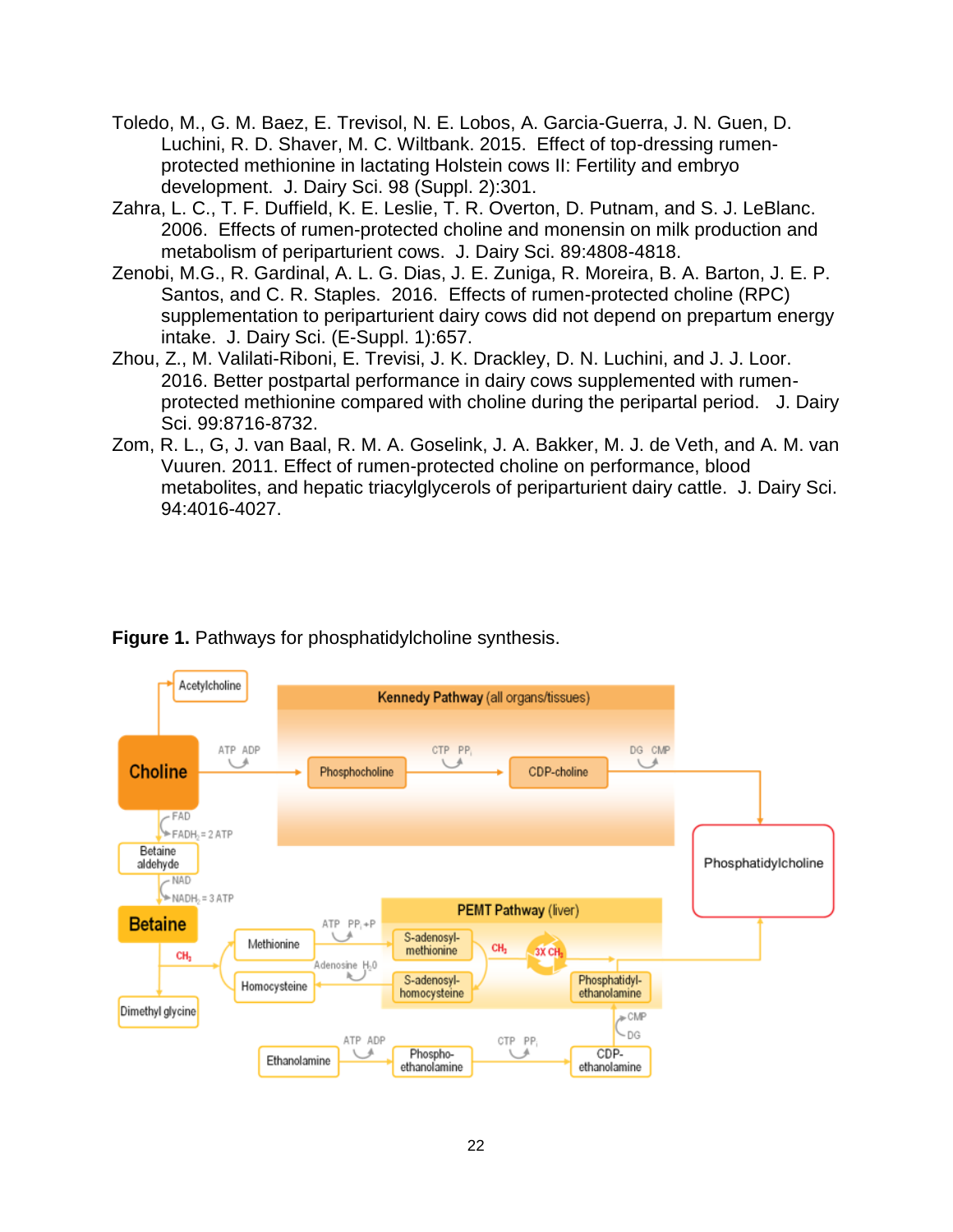- Toledo, M., G. M. Baez, E. Trevisol, N. E. Lobos, A. Garcia-Guerra, J. N. Guen, D. Luchini, R. D. Shaver, M. C. Wiltbank. 2015. Effect of top-dressing rumenprotected methionine in lactating Holstein cows II: Fertility and embryo development. J. Dairy Sci. 98 (Suppl. 2):301.
- Zahra, L. C., T. F. Duffield, K. E. Leslie, T. R. Overton, D. Putnam, and S. J. LeBlanc. 2006. Effects of rumen-protected choline and monensin on milk production and metabolism of periparturient cows. J. Dairy Sci. 89:4808-4818.
- Zenobi, M.G., R. Gardinal, A. L. G. Dias, J. E. Zuniga, R. Moreira, B. A. Barton, J. E. P. Santos, and C. R. Staples. 2016. Effects of rumen-protected choline (RPC) supplementation to periparturient dairy cows did not depend on prepartum energy intake. J. Dairy Sci. (E-Suppl. 1):657.
- Zhou, Z., M. Valilati-Riboni, E. Trevisi, J. K. Drackley, D. N. Luchini, and J. J. Loor. 2016. Better postpartal performance in dairy cows supplemented with rumenprotected methionine compared with choline during the peripartal period. J. Dairy Sci. 99:8716-8732.
- Zom, R. L., G, J. van Baal, R. M. A. Goselink, J. A. Bakker, M. J. de Veth, and A. M. van Vuuren. 2011. Effect of rumen-protected choline on performance, blood metabolites, and hepatic triacylglycerols of periparturient dairy cattle. J. Dairy Sci. 94:4016-4027.



### **Figure 1.** Pathways for phosphatidylcholine synthesis.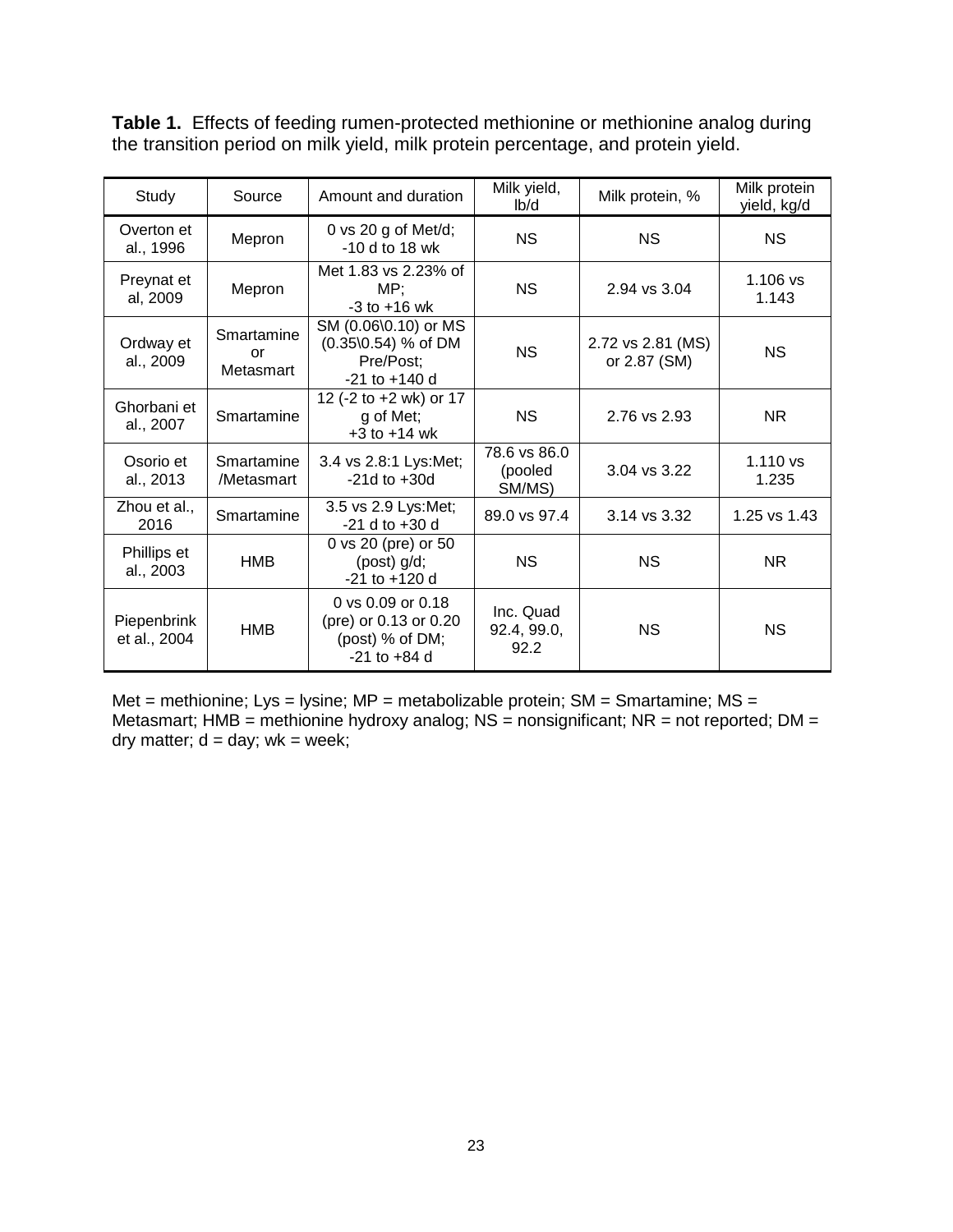**Table 1.** Effects of feeding rumen-protected methionine or methionine analog during the transition period on milk yield, milk protein percentage, and protein yield.

| Study                       | Source                        | Amount and duration                                                                      | Milk yield,<br>I <sub>b</sub> /d  | Milk protein, %                   | Milk protein<br>yield, kg/d |
|-----------------------------|-------------------------------|------------------------------------------------------------------------------------------|-----------------------------------|-----------------------------------|-----------------------------|
| Overton et<br>al., 1996     | Mepron                        | 0 vs 20 g of Met/d;<br>-10 d to 18 wk                                                    | NS.                               | <b>NS</b>                         | <b>NS</b>                   |
| Preynat et<br>al, 2009      | Mepron                        | Met 1.83 vs 2.23% of<br>MP;<br>$-3$ to $+16$ wk                                          | NS.                               | 2.94 vs 3.04                      | $1.106$ vs<br>1.143         |
| Ordway et<br>al., 2009      | Smartamine<br>or<br>Metasmart | SM (0.06\0.10) or MS<br>$(0.35\backslash0.54)$ % of DM<br>Pre/Post;<br>$-21$ to $+140$ d | <b>NS</b>                         | 2.72 vs 2.81 (MS)<br>or 2.87 (SM) | <b>NS</b>                   |
| Ghorbani et<br>al., 2007    | Smartamine                    | 12 (-2 to +2 wk) or 17<br>g of Met;<br>$+3$ to $+14$ wk                                  | <b>NS</b>                         | 2.76 vs 2.93                      | NR.                         |
| Osorio et<br>al., 2013      | Smartamine<br>/Metasmart      | 3.4 vs 2.8:1 Lys:Met;<br>$-21d$ to $+30d$                                                | 78.6 vs 86.0<br>(pooled<br>SM/MS) | 3.04 vs 3.22                      | $1.110$ vs<br>1.235         |
| Zhou et al.,<br>2016        | Smartamine                    | 3.5 vs 2.9 Lys:Met;<br>$-21$ d to $+30$ d                                                | 89.0 vs 97.4                      | 3.14 vs 3.32                      | 1.25 vs 1.43                |
| Phillips et<br>al., 2003    | HMB                           | 0 vs 20 (pre) or 50<br>$(post)$ $g/d$ ;<br>$-21$ to $+120$ d                             | <b>NS</b>                         | <b>NS</b>                         | NR.                         |
| Piepenbrink<br>et al., 2004 | <b>HMB</b>                    | 0 vs 0.09 or 0.18<br>(pre) or 0.13 or 0.20<br>(post) $%$ of DM;<br>$-21$ to $+84$ d      | Inc. Quad<br>92.4, 99.0,<br>92.2  | <b>NS</b>                         | <b>NS</b>                   |

Met = methionine; Lys = lysine; MP = metabolizable protein;  $SM = Smartamine$ ;  $MS =$ Metasmart; HMB = methionine hydroxy analog;  $NS =$  nonsignificant;  $NR =$  not reported;  $DM =$ dry matter;  $d = day$ ; wk = week;